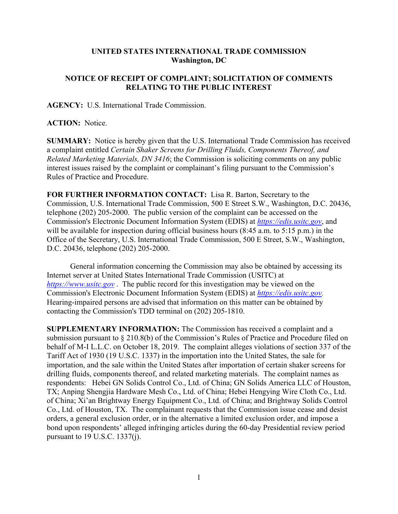## **UNITED STATES INTERNATIONAL TRADE COMMISSION Washington, DC**

## **NOTICE OF RECEIPT OF COMPLAINT; SOLICITATION OF COMMENTS RELATING TO THE PUBLIC INTEREST**

**AGENCY:** U.S. International Trade Commission.

## **ACTION:** Notice.

**SUMMARY:** Notice is hereby given that the U.S. International Trade Commission has received a complaint entitled *Certain Shaker Screens for Drilling Fluids, Components Thereof, and Related Marketing Materials, DN 3416*; the Commission is soliciting comments on any public interest issues raised by the complaint or complainant's filing pursuant to the Commission's Rules of Practice and Procedure.

**FOR FURTHER INFORMATION CONTACT:** Lisa R. Barton, Secretary to the Commission, U.S. International Trade Commission, 500 E Street S.W., Washington, D.C. 20436, telephone (202) 205-2000. The public version of the complaint can be accessed on the Commission's Electronic Document Information System (EDIS) at *https://edis.usitc.gov*, and will be available for inspection during official business hours (8:45 a.m. to 5:15 p.m.) in the Office of the Secretary, U.S. International Trade Commission, 500 E Street, S.W., Washington, D.C. 20436, telephone (202) 205-2000.

General information concerning the Commission may also be obtained by accessing its Internet server at United States International Trade Commission (USITC) at *https://www.usitc.gov* . The public record for this investigation may be viewed on the Commission's Electronic Document Information System (EDIS) at *https://edis.usitc.gov.* Hearing-impaired persons are advised that information on this matter can be obtained by contacting the Commission's TDD terminal on (202) 205-1810.

**SUPPLEMENTARY INFORMATION:** The Commission has received a complaint and a submission pursuant to § 210.8(b) of the Commission's Rules of Practice and Procedure filed on behalf of M-I L.L.C. on October 18, 2019. The complaint alleges violations of section 337 of the Tariff Act of 1930 (19 U.S.C. 1337) in the importation into the United States, the sale for importation, and the sale within the United States after importation of certain shaker screens for drilling fluids, components thereof, and related marketing materials. The complaint names as respondents: Hebei GN Solids Control Co., Ltd. of China; GN Solids America LLC of Houston, TX; Anping Shengjia Hardware Mesh Co., Ltd. of China; Hebei Hengying Wire Cloth Co., Ltd. of China; Xi'an Brightway Energy Equipment Co., Ltd. of China; and Brightway Solids Control Co., Ltd. of Houston, TX. The complainant requests that the Commission issue cease and desist orders, a general exclusion order, or in the alternative a limited exclusion order, and impose a bond upon respondents' alleged infringing articles during the 60-day Presidential review period pursuant to 19 U.S.C. 1337(j).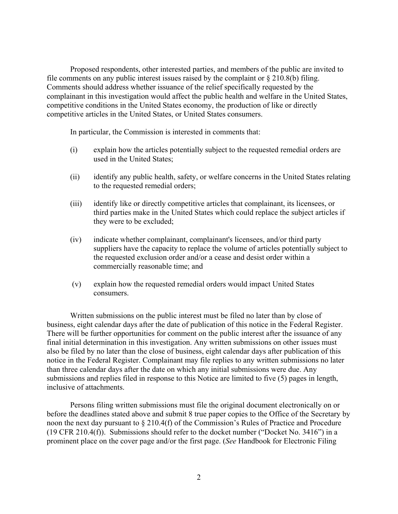Proposed respondents, other interested parties, and members of the public are invited to file comments on any public interest issues raised by the complaint or  $\S 210.8(b)$  filing. Comments should address whether issuance of the relief specifically requested by the complainant in this investigation would affect the public health and welfare in the United States, competitive conditions in the United States economy, the production of like or directly competitive articles in the United States, or United States consumers.

In particular, the Commission is interested in comments that:

- (i) explain how the articles potentially subject to the requested remedial orders are used in the United States;
- (ii) identify any public health, safety, or welfare concerns in the United States relating to the requested remedial orders;
- (iii) identify like or directly competitive articles that complainant, its licensees, or third parties make in the United States which could replace the subject articles if they were to be excluded;
- (iv) indicate whether complainant, complainant's licensees, and/or third party suppliers have the capacity to replace the volume of articles potentially subject to the requested exclusion order and/or a cease and desist order within a commercially reasonable time; and
- (v) explain how the requested remedial orders would impact United States consumers.

Written submissions on the public interest must be filed no later than by close of business, eight calendar days after the date of publication of this notice in the Federal Register. There will be further opportunities for comment on the public interest after the issuance of any final initial determination in this investigation. Any written submissions on other issues must also be filed by no later than the close of business, eight calendar days after publication of this notice in the Federal Register. Complainant may file replies to any written submissions no later than three calendar days after the date on which any initial submissions were due. Any submissions and replies filed in response to this Notice are limited to five (5) pages in length, inclusive of attachments.

Persons filing written submissions must file the original document electronically on or before the deadlines stated above and submit 8 true paper copies to the Office of the Secretary by noon the next day pursuant to § 210.4(f) of the Commission's Rules of Practice and Procedure (19 CFR 210.4(f)). Submissions should refer to the docket number ("Docket No. 3416") in a prominent place on the cover page and/or the first page. (*See* Handbook for Electronic Filing